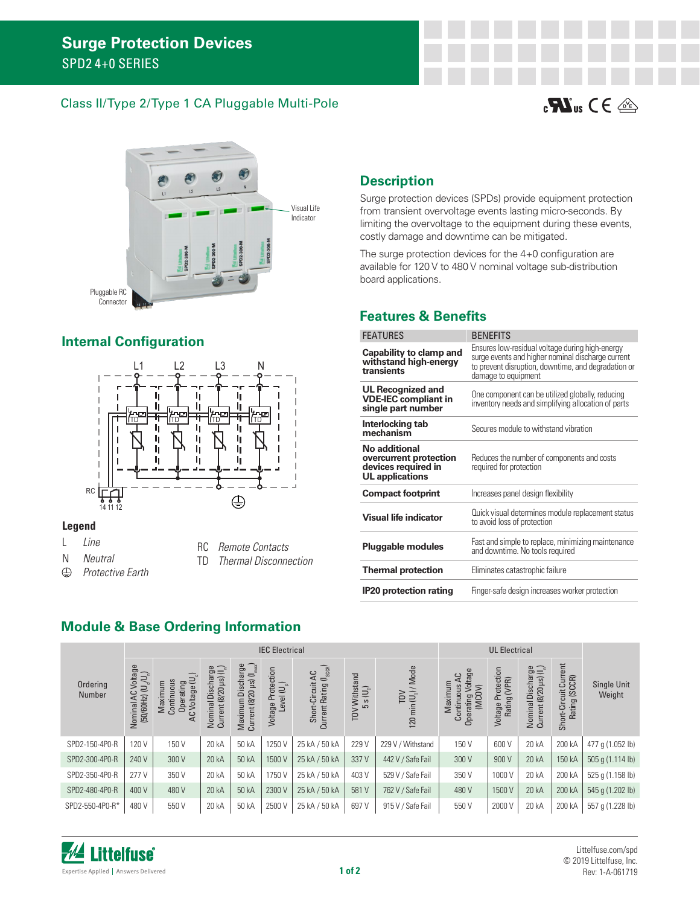#### Class II/Type 2/Type 1 CA Pluggable Multi-Pole





## **Internal Configuration**



#### **Legend**

- L *Line*
- N *Neutral*
- $\bigoplus$ *Protective Earth*
- RC *Remote Contacts*
- **Thermal Disconnection**

# **Description**

Surge protection devices (SPDs) provide equipment protection from transient overvoltage events lasting micro-seconds. By limiting the overvoltage to the equipment during these events, costly damage and downtime can be mitigated.

The surge protection devices for the 4+0 configuration are available for 120 V to 480 V nominal voltage sub-distribution board applications.

## **Features & Benefits**

| <b>FEATURES</b>                                                                          | <b>BENEFITS</b>                                                                                                                                                                    |
|------------------------------------------------------------------------------------------|------------------------------------------------------------------------------------------------------------------------------------------------------------------------------------|
| Capability to clamp and<br>withstand high-energy<br>transients                           | Ensures low-residual voltage during high-energy<br>surge events and higher nominal discharge current<br>to prevent disruption, downtime, and degradation or<br>damage to equipment |
| <b>UL Recognized and</b><br><b>VDE-IEC compliant in</b><br>single part number            | One component can be utilized globally, reducing<br>inventory needs and simplifying allocation of parts                                                                            |
| Interlocking tab<br>mechanism                                                            | Secures module to withstand vibration                                                                                                                                              |
| No additional<br>overcurrent protection<br>devices required in<br><b>UL</b> applications | Reduces the number of components and costs<br>required for protection                                                                                                              |
| <b>Compact footprint</b>                                                                 | Increases panel design flexibility                                                                                                                                                 |
| <b>Visual life indicator</b>                                                             | Quick visual determines module replacement status<br>to avoid loss of protection                                                                                                   |
| <b>Pluggable modules</b>                                                                 | Fast and simple to replace, minimizing maintenance<br>and downtime. No tools required                                                                                              |
| <b>Thermal protection</b>                                                                | Eliminates catastrophic failure                                                                                                                                                    |
| <b>IP20 protection rating</b>                                                            | Finger-safe design increases worker protection                                                                                                                                     |

## **Module & Base Ordering Information**

|                    | <b>IEC Electrical</b>                                                           |                                                     |                                                               |                                                                   |                                     |                                                         |                             |                                         |                                                                      |                                       |                                                                  |                                               |                       |
|--------------------|---------------------------------------------------------------------------------|-----------------------------------------------------|---------------------------------------------------------------|-------------------------------------------------------------------|-------------------------------------|---------------------------------------------------------|-----------------------------|-----------------------------------------|----------------------------------------------------------------------|---------------------------------------|------------------------------------------------------------------|-----------------------------------------------|-----------------------|
| Ordering<br>Number | Iominal AC Voltage<br>(50/60Hz) (U <sub>o</sub> /U <sub>n</sub> )<br>Nominal AC | AC Voltage (U<br>Maximum<br>Continuous<br>Operating | Current (8/20 $\mu$ s) (I <sub>n</sub> )<br>Nominal Discharge | max<br>Maximum Discharge<br>Current (8/20 µs) (I <sub>max</sub> ) | Voltage Protection<br>Level $(U_p)$ | Current Rating (I <sub>sccR</sub> )<br>Short-Circuit AC | TOV Withstand<br>$5 s(U_T)$ | TOV<br>120 min (U <sub>1</sub> ) / Mode | Voltage<br>မွ<br>Maximum<br>Continuous<br>(MCDV)<br><b>Operating</b> | Protection<br>Rating (VPR)<br>Voltage | $\widehat{\square}$<br>Discharge<br>Current (8/20 µs)<br>Nominal | urrent<br>Rating (SCCR)<br>ت<br>Short-Circuit | Single Unit<br>Weight |
| SPD2-150-4P0-R     | 120 V                                                                           | 150 V                                               | 20 kA                                                         | 50 kA                                                             | 1250 V                              | 25 kA / 50 kA                                           | 229 V                       | 229 V / Withstand                       | 150 V                                                                | 600 V                                 | 20 kA                                                            | 200 kA                                        | 477 g (1.052 lb)      |
| SPD2-300-4P0-R     | 240 V                                                                           | 300 V                                               | 20 kA                                                         | 50 kA                                                             | 1500 V                              | 25 kA / 50 kA                                           | 337 V                       | 442 V / Safe Fail                       | 300 V                                                                | 900 V                                 | 20 kA                                                            | 150 kA                                        | 505 g (1.114 lb)      |
| SPD2-350-4P0-R     | 277 V                                                                           | 350 V                                               | 20 kA                                                         | 50 kA                                                             | 1750 V                              | 25 kA / 50 kA                                           | 403 V                       | 529 V / Safe Fail                       | 350 V                                                                | 1000 V                                | 20 kA                                                            | 200 kA                                        | 525 g (1.158 lb)      |
| SPD2-480-4P0-R     | 400 V                                                                           | 480 V                                               | 20 kA                                                         | 50 kA                                                             | 2300 V                              | 25 kA / 50 kA                                           | 581 V                       | 762 V / Safe Fail                       | 480 V                                                                | 1500 V                                | 20 kA                                                            | 200 kA                                        | 545 g (1.202 lb)      |
| SPD2-550-4P0-R*    | 480 V                                                                           | 550 V                                               | 20 kA                                                         | 50 kA                                                             | 2500 V                              | 25 kA / 50 kA                                           | 697 V                       | 915 V / Safe Fail                       | 550 V                                                                | 2000 V                                | 20 kA                                                            | 200 kA                                        | 557 g (1.228 lb)      |